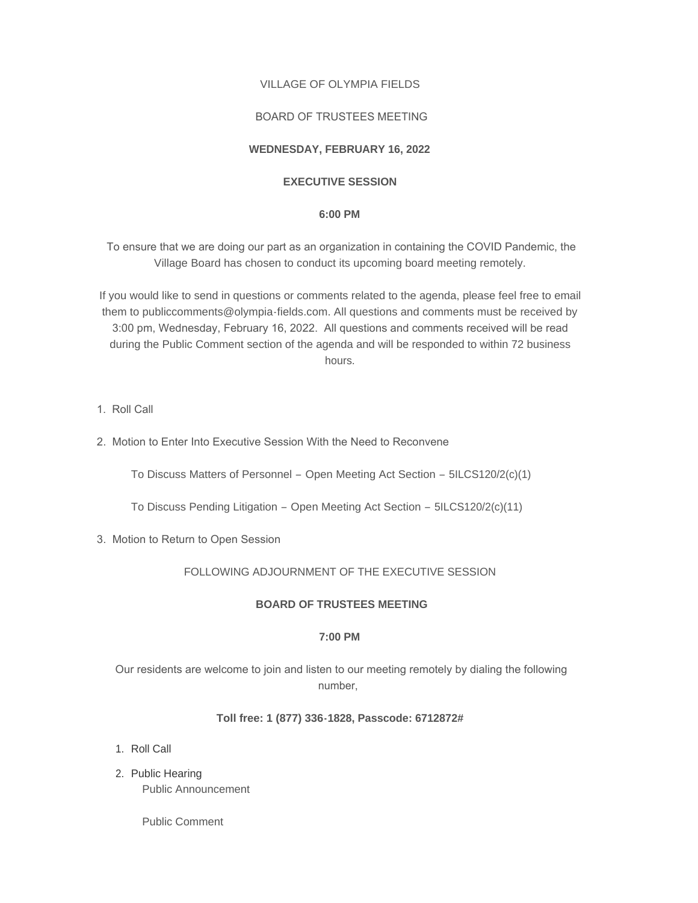# VILLAGE OF OLYMPIA FIELDS

# BOARD OF TRUSTEES MEETING

# **WEDNESDAY, FEBRUARY 16, 2022**

# **EXECUTIVE SESSION**

### **6:00 PM**

 To ensure that we are doing our part as an organization in containing the COVID Pandemic, the Village Board has chosen to conduct its upcoming board meeting remotely.

If you would like to send in questions or comments related to the agenda, please feel free to email them to publiccomments@olympia-fields.com. All questions and comments must be received by 3:00 pm, Wednesday, February 16, 2022. All questions and comments received will be read during the Public Comment section of the agenda and will be responded to within 72 business hours.

- 1. Roll Call
- 2. Motion to Enter Into Executive Session With the Need to Reconvene

To Discuss Matters of Personnel – Open Meeting Act Section – 5ILCS120/2(c)(1)

To Discuss Pending Litigation – Open Meeting Act Section – 5ILCS120/2(c)(11)

3. Motion to Return to Open Session

# FOLLOWING ADJOURNMENT OF THE EXECUTIVE SESSION

#### **BOARD OF TRUSTEES MEETING**

# **7:00 PM**

 Our residents are welcome to join and listen to our meeting remotely by dialing the following number,

# **Toll free: 1 (877) 336-1828, Passcode: 6712872#**

- 1. Roll Call
- 2. Public Hearing Public Announcement

Public Comment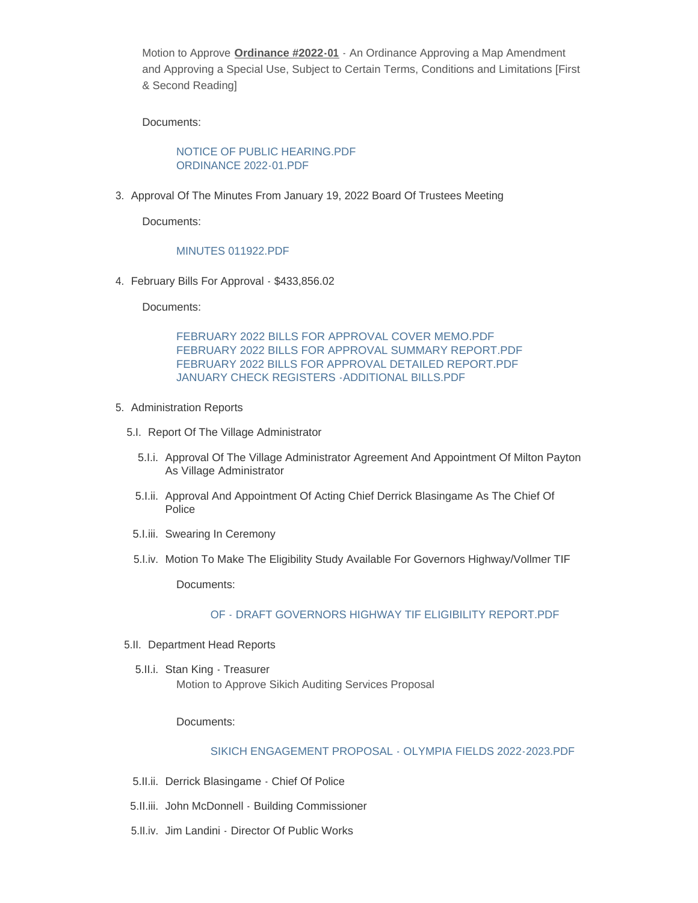Motion to Approve **Ordinance #2022-01** - An Ordinance Approving a Map Amendment and Approving a Special Use, Subject to Certain Terms, Conditions and Limitations [First & Second Reading]

Documents:

[NOTICE OF PUBLIC HEARING.PDF](https://www.olympia-fields.com/AgendaCenter/ViewFile/Item/2139?fileID=2164) [ORDINANCE 2022-01.PDF](https://www.olympia-fields.com/AgendaCenter/ViewFile/Item/2139?fileID=2163)

3. Approval Of The Minutes From January 19, 2022 Board Of Trustees Meeting

Documents:

#### [MINUTES 011922.PDF](https://www.olympia-fields.com/AgendaCenter/ViewFile/Item/2130?fileID=2153)

February Bills For Approval - \$433,856.02 4.

Documents:

[FEBRUARY 2022 BILLS FOR APPROVAL COVER MEMO.PDF](https://www.olympia-fields.com/AgendaCenter/ViewFile/Item/2131?fileID=2154) [FEBRUARY 2022 BILLS FOR APPROVAL SUMMARY REPORT.PDF](https://www.olympia-fields.com/AgendaCenter/ViewFile/Item/2131?fileID=2155) [FEBRUARY 2022 BILLS FOR APPROVAL DETAILED REPORT.PDF](https://www.olympia-fields.com/AgendaCenter/ViewFile/Item/2131?fileID=2156) [JANUARY CHECK REGISTERS -ADDITIONAL BILLS.PDF](https://www.olympia-fields.com/AgendaCenter/ViewFile/Item/2131?fileID=2157)

- 5. Administration Reports
	- 5.I. Report Of The Village Administrator
		- 5. I.i. Approval Of The Village Administrator Agreement And Appointment Of Milton Payton As Village Administrator
		- 5. I.ii. Approval And Appointment Of Acting Chief Derrick Blasingame As The Chief Of Police
		- 5.I.iii. Swearing In Ceremony
	- 5.I.iv. Motion To Make The Eligibility Study Available For Governors Highway/Vollmer TIF

Documents:

#### [OF - DRAFT GOVERNORS HIGHWAY TIF ELIGIBILITY REPORT.PDF](https://www.olympia-fields.com/AgendaCenter/ViewFile/Item/2136?fileID=2166)

- 5.II. Department Head Reports
	- 5.II.i. Stan King Treasurer Motion to Approve Sikich Auditing Services Proposal

Documents:

#### [SIKICH ENGAGEMENT PROPOSAL - OLYMPIA FIELDS 2022-2023.PDF](https://www.olympia-fields.com/AgendaCenter/ViewFile/Item/2138?fileID=2162)

- 5.II.ii. Derrick Blasingame Chief Of Police
- 5.II.iii. John McDonnell Building Commissioner
- 5.II.iv. Jim Landini Director Of Public Works